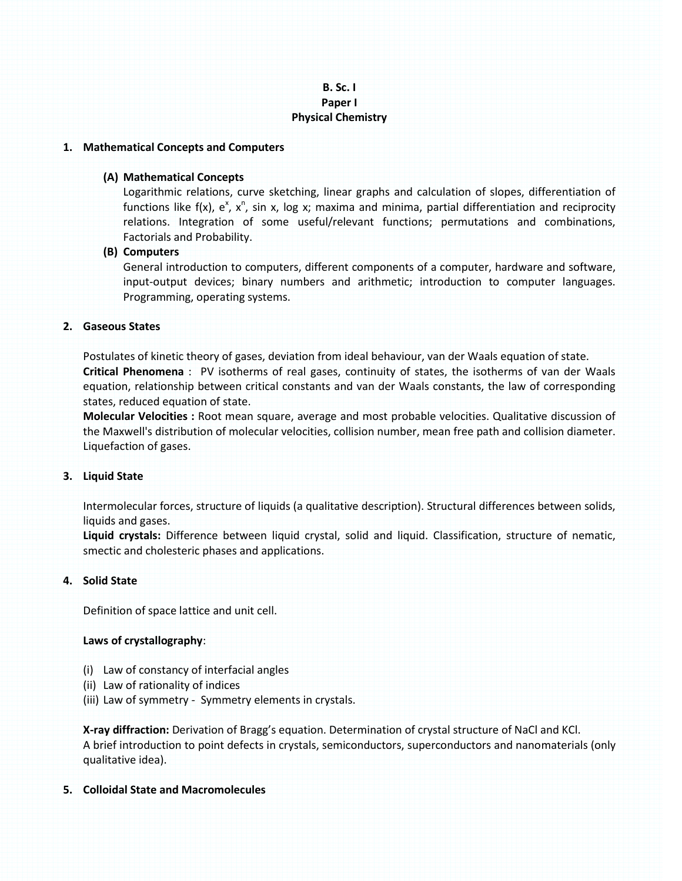# **B. Sc. I Paper I Physical Chemistry**

### **1. Mathematical Concepts and Computers**

### **(A) Mathematical Concepts**

Logarithmic relations, curve sketching, linear graphs and calculation of slopes, differentiation of functions like f(x),  $e^x$ ,  $x^n$ , sin x, log x; maxima and minima, partial differentiation and reciprocity relations. Integration of some useful/relevant functions; permutations and combinations, Factorials and Probability.

### **(B) Computers**

General introduction to computers, different components of a computer, hardware and software, input-output devices; binary numbers and arithmetic; introduction to computer languages. Programming, operating systems.

### **2. Gaseous States**

Postulates of kinetic theory of gases, deviation from ideal behaviour, van der Waals equation of state. **Critical Phenomena** : PV isotherms of real gases, continuity of states, the isotherms of van der Waals equation, relationship between critical constants and van der Waals constants, the law of corresponding states, reduced equation of state.

**Molecular Velocities :** Root mean square, average and most probable velocities. Qualitative discussion of the Maxwell's distribution of molecular velocities, collision number, mean free path and collision diameter. Liquefaction of gases.

# **3. Liquid State**

Intermolecular forces, structure of liquids (a qualitative description). Structural differences between solids, liquids and gases.

**Liquid crystals:** Difference between liquid crystal, solid and liquid. Classification, structure of nematic, smectic and cholesteric phases and applications.

# **4. Solid State**

Definition of space lattice and unit cell.

### **Laws of crystallography**:

- (i) Law of constancy of interfacial angles
- (ii) Law of rationality of indices
- (iii) Law of symmetry Symmetry elements in crystals.

**X-ray diffraction:** Derivation of Bragg's equation. Determination of crystal structure of NaCl and KCl. A brief introduction to point defects in crystals, semiconductors, superconductors and nanomaterials (only qualitative idea).

### **5. Colloidal State and Macromolecules**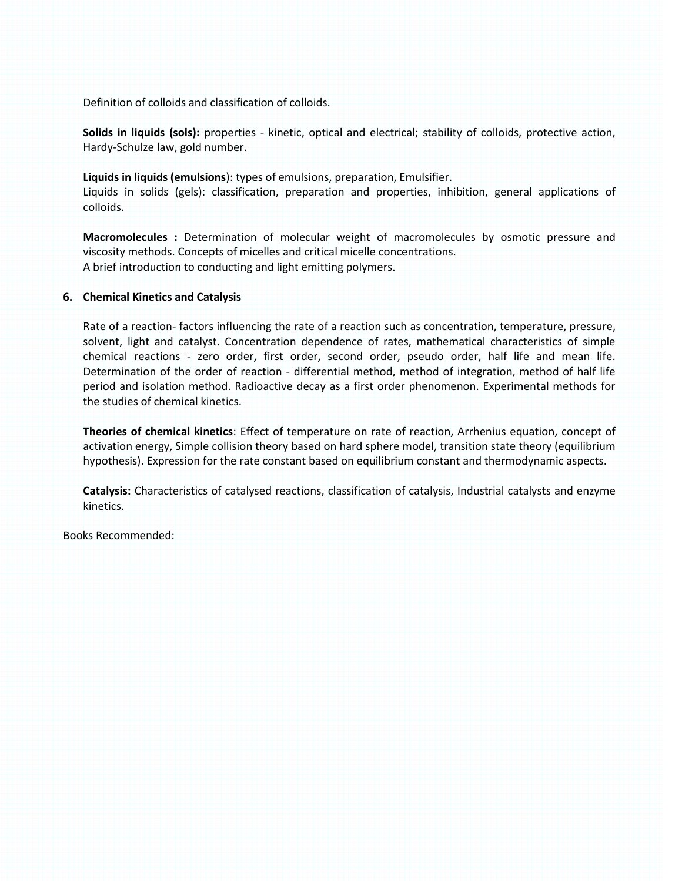Definition of colloids and classification of colloids.

**Solids in liquids (sols):** properties - kinetic, optical and electrical; stability of colloids, protective action, Hardy-Schulze law, gold number.

**Liquids in liquids (emulsions**): types of emulsions, preparation, Emulsifier. Liquids in solids (gels): classification, preparation and properties, inhibition, general applications of colloids.

**Macromolecules :** Determination of molecular weight of macromolecules by osmotic pressure and viscosity methods. Concepts of micelles and critical micelle concentrations. A brief introduction to conducting and light emitting polymers.

### **6. Chemical Kinetics and Catalysis**

Rate of a reaction- factors influencing the rate of a reaction such as concentration, temperature, pressure, solvent, light and catalyst. Concentration dependence of rates, mathematical characteristics of simple chemical reactions - zero order, first order, second order, pseudo order, half life and mean life. Determination of the order of reaction - differential method, method of integration, method of half life period and isolation method. Radioactive decay as a first order phenomenon. Experimental methods for the studies of chemical kinetics.

**Theories of chemical kinetics**: Effect of temperature on rate of reaction, Arrhenius equation, concept of activation energy, Simple collision theory based on hard sphere model, transition state theory (equilibrium hypothesis). Expression for the rate constant based on equilibrium constant and thermodynamic aspects.

**Catalysis:** Characteristics of catalysed reactions, classification of catalysis, Industrial catalysts and enzyme kinetics.

Books Recommended: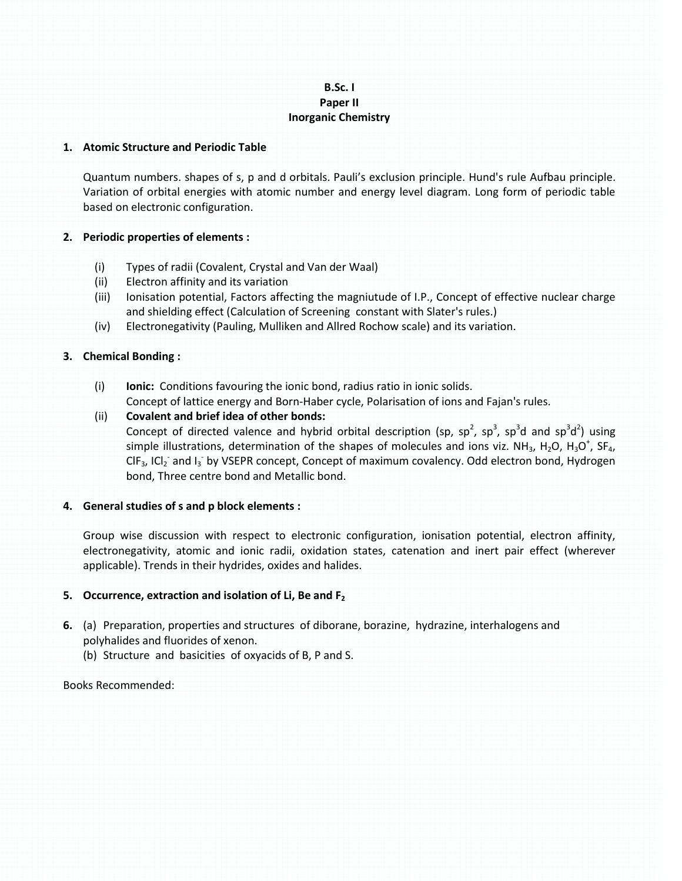# **B.Sc. I Paper II Inorganic Chemistry**

### **1. Atomic Structure and Periodic Table**

Quantum numbers. shapes of s, p and d orbitals. Pauli's exclusion principle. Hund's rule Aufbau principle. Variation of orbital energies with atomic number and energy level diagram. Long form of periodic table based on electronic configuration.

# **2. Periodic properties of elements :**

- (i) Types of radii (Covalent, Crystal and Van der Waal)
- (ii) Electron affinity and its variation
- (iii) Ionisation potential, Factors affecting the magniutude of I.P., Concept of effective nuclear charge and shielding effect (Calculation of Screening constant with Slater's rules.)
- (iv) Electronegativity (Pauling, Mulliken and Allred Rochow scale) and its variation.

# **3. Chemical Bonding :**

(i) **Ionic:** Conditions favouring the ionic bond, radius ratio in ionic solids. Concept of lattice energy and Born-Haber cycle, Polarisation of ions and Fajan's rules.

# (ii) **Covalent and brief idea of other bonds:**

Concept of directed valence and hybrid orbital description (sp, sp<sup>2</sup>, sp<sup>3</sup>, sp<sup>3</sup>d and sp<sup>3</sup>d<sup>2</sup>) using simple illustrations, determination of the shapes of molecules and ions viz. NH<sub>3</sub>, H<sub>2</sub>O, H<sub>3</sub>O<sup>+</sup>, SF<sub>4</sub>,  $CIF_3$ , ICI<sub>2</sub> and I<sub>3</sub> by VSEPR concept, Concept of maximum covalency. Odd electron bond, Hydrogen bond, Three centre bond and Metallic bond.

# **4. General studies of s and p block elements :**

Group wise discussion with respect to electronic configuration, ionisation potential, electron affinity, electronegativity, atomic and ionic radii, oxidation states, catenation and inert pair effect (wherever applicable). Trends in their hydrides, oxides and halides.

# **5. Occurrence, extraction and isolation of Li, Be and F<sup>2</sup>**

- **6.** (a) Preparation, properties and structures of diborane, borazine, hydrazine, interhalogens and polyhalides and fluorides of xenon.
	- (b) Structure and basicities of oxyacids of B, P and S.

# Books Recommended: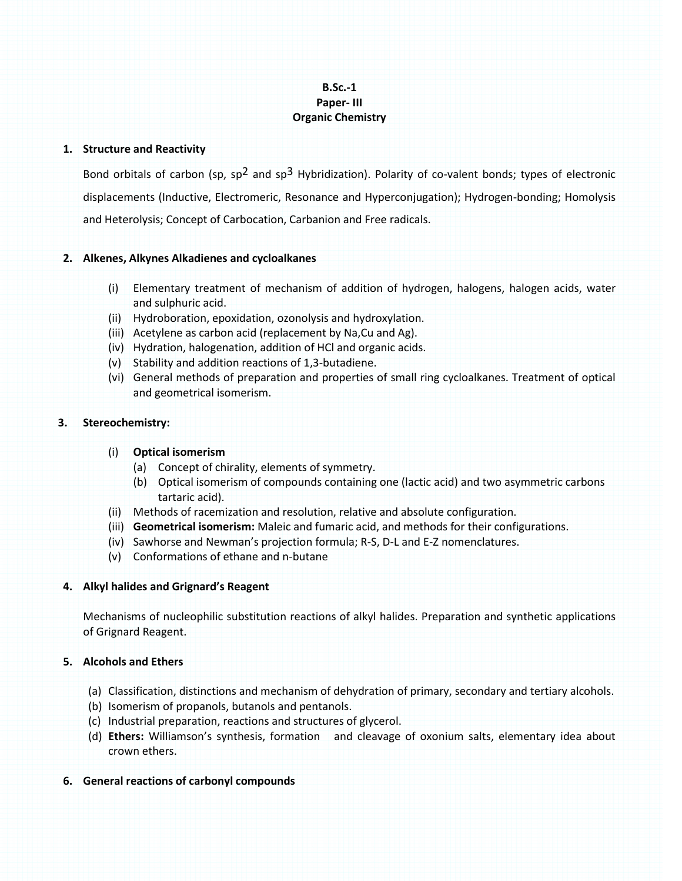# **B.Sc.-1 Paper- III Organic Chemistry**

### **1. Structure and Reactivity**

Bond orbitals of carbon (sp, sp<sup>2</sup> and sp<sup>3</sup> Hybridization). Polarity of co-valent bonds; types of electronic displacements (Inductive, Electromeric, Resonance and Hyperconjugation); Hydrogen-bonding; Homolysis and Heterolysis; Concept of Carbocation, Carbanion and Free radicals.

# **2. Alkenes, Alkynes Alkadienes and cycloalkanes**

- (i) Elementary treatment of mechanism of addition of hydrogen, halogens, halogen acids, water and sulphuric acid.
- (ii) Hydroboration, epoxidation, ozonolysis and hydroxylation.
- (iii) Acetylene as carbon acid (replacement by Na,Cu and Ag).
- (iv) Hydration, halogenation, addition of HCl and organic acids.
- (v) Stability and addition reactions of 1,3-butadiene.
- (vi) General methods of preparation and properties of small ring cycloalkanes. Treatment of optical and geometrical isomerism.

### **3. Stereochemistry:**

### (i) **Optical isomerism**

- (a) Concept of chirality, elements of symmetry.
- (b) Optical isomerism of compounds containing one (lactic acid) and two asymmetric carbons tartaric acid).
- (ii) Methods of racemization and resolution, relative and absolute configuration.
- (iii) **Geometrical isomerism:** Maleic and fumaric acid, and methods for their configurations.
- (iv) Sawhorse and Newman's projection formula; R-S, D-L and E-Z nomenclatures.
- (v) Conformations of ethane and n-butane

# **4. Alkyl halides and Grignard's Reagent**

Mechanisms of nucleophilic substitution reactions of alkyl halides. Preparation and synthetic applications of Grignard Reagent.

# **5. Alcohols and Ethers**

- (a) Classification, distinctions and mechanism of dehydration of primary, secondary and tertiary alcohols.
- (b) Isomerism of propanols, butanols and pentanols.
- (c) Industrial preparation, reactions and structures of glycerol.
- (d) **Ethers:** Williamson's synthesis, formation and cleavage of oxonium salts, elementary idea about crown ethers.
- **6. General reactions of carbonyl compounds**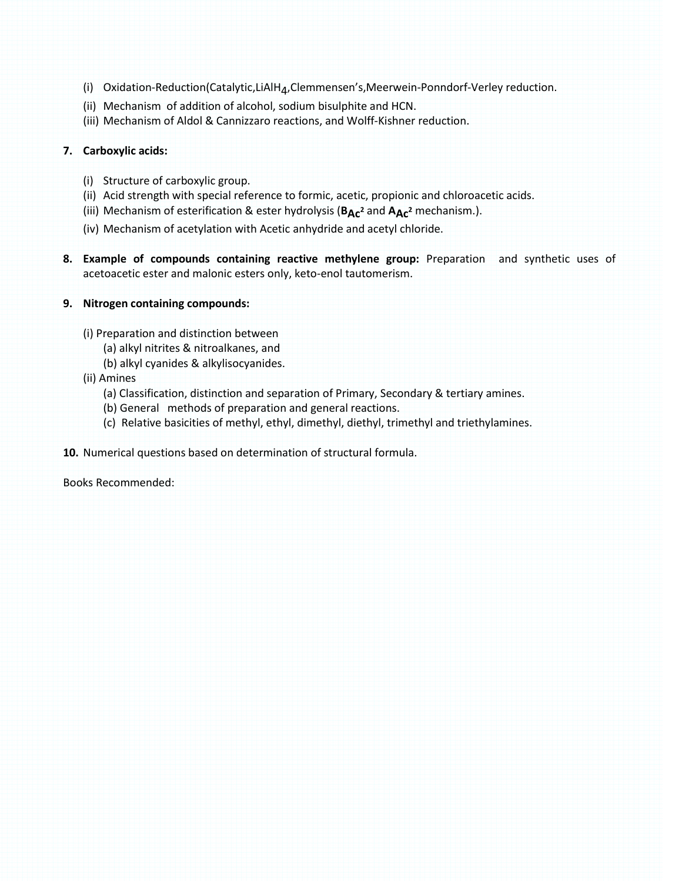- (i) Oxidation-Reduction(Catalytic,LiAlH<sub>4</sub>,Clemmensen's,Meerwein-Ponndorf-Verley reduction.
- (ii) Mechanism of addition of alcohol, sodium bisulphite and HCN.
- (iii) Mechanism of Aldol & Cannizzaro reactions, and Wolff-Kishner reduction.

# **7. Carboxylic acids:**

- (i) Structure of carboxylic group.
- (ii) Acid strength with special reference to formic, acetic, propionic and chloroacetic acids.
- (iii) Mechanism of esterification & ester hydrolysis (**BAc<sup>2</sup>** and **AAc<sup>2</sup>** mechanism.).
- (iv) Mechanism of acetylation with Acetic anhydride and acetyl chloride.
- **8. Example of compounds containing reactive methylene group:** Preparation and synthetic uses of acetoacetic ester and malonic esters only, keto-enol tautomerism.

# **9. Nitrogen containing compounds:**

(i) Preparation and distinction between

- (a) alkyl nitrites & nitroalkanes, and
- (b) alkyl cyanides & alkylisocyanides.
- (ii) Amines
	- (a) Classification, distinction and separation of Primary, Secondary & tertiary amines.
	- (b) General methods of preparation and general reactions.
	- (c) Relative basicities of methyl, ethyl, dimethyl, diethyl, trimethyl and triethylamines.
- **10.** Numerical questions based on determination of structural formula.

Books Recommended: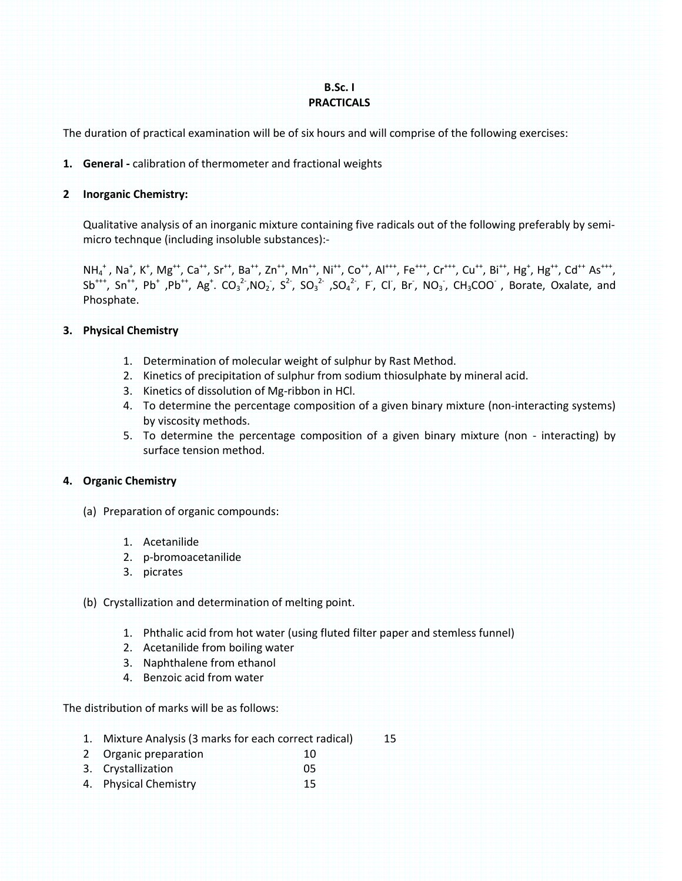# **B.Sc. I PRACTICALS**

The duration of practical examination will be of six hours and will comprise of the following exercises:

# **1. General -** calibration of thermometer and fractional weights

### **2 Inorganic Chemistry:**

 Qualitative analysis of an inorganic mixture containing five radicals out of the following preferably by semimicro technque (including insoluble substances):-

NH<sub>4</sub>+, Na<sup>+</sup>, K<sup>+</sup>, Mg<sup>++</sup>, Ca<sup>++</sup>, Sr<sup>++</sup>, Ba<sup>++</sup>, Zn<sup>++</sup>, Mn<sup>++</sup>, Ni<sup>++</sup>, Co<sup>++</sup>, Al<sup>+++</sup>, Fe<sup>+++</sup>, Cr<sup>+++</sup>, Cu<sup>++</sup>, Bi<sup>++</sup>, Hg<sup>+</sup>, Hg<sup>++</sup>, Cd<sup>++</sup> As<sup>+++</sup>,  $Sb^{++}$ ,  $Sn^{++}$ ,  $Pb^+$ ,  $Ag^+$ .  $CO_3^2$ ,  $NO_2$ ,  $S^2$ ,  $SO_3^2$ ,  $SO_4^2$ , F, Cl, Br, NO<sub>3</sub>, CH<sub>3</sub>COO , Borate, Oxalate, and Phosphate.

### **3. Physical Chemistry**

- 1. Determination of molecular weight of sulphur by Rast Method.
- 2. Kinetics of precipitation of sulphur from sodium thiosulphate by mineral acid.
- 3. Kinetics of dissolution of Mg-ribbon in HCl.
- 4. To determine the percentage composition of a given binary mixture (non-interacting systems) by viscosity methods.
- 5. To determine the percentage composition of a given binary mixture (non interacting) by surface tension method.

# **4. Organic Chemistry**

- (a) Preparation of organic compounds:
	- 1. Acetanilide
	- 2. p-bromoacetanilide
	- 3. picrates

### (b) Crystallization and determination of melting point.

- 1. Phthalic acid from hot water (using fluted filter paper and stemless funnel)
- 2. Acetanilide from boiling water
- 3. Naphthalene from ethanol
- 4. Benzoic acid from water

The distribution of marks will be as follows:

- 1. Mixture Analysis (3 marks for each correct radical) 15
- 2 Organic preparation 10
- 3. Crystallization 05
- 4. Physical Chemistry 15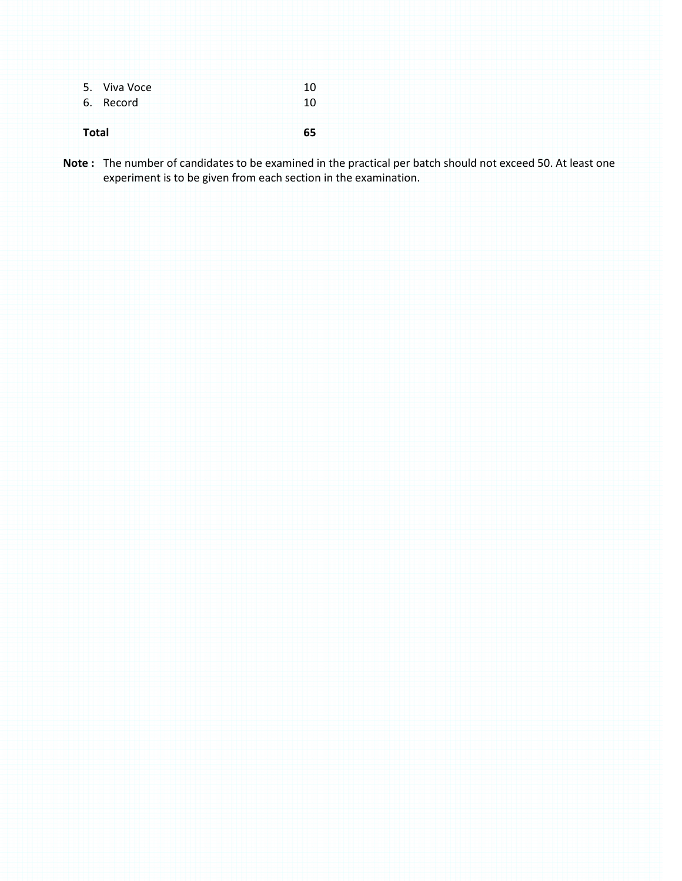|              | 5. Viva Voce | 10 |
|--------------|--------------|----|
|              | 6. Record    | 10 |
|              |              |    |
| <b>Total</b> |              | 55 |

**Note :** The number of candidates to be examined in the practical per batch should not exceed 50. At least one experiment is to be given from each section in the examination.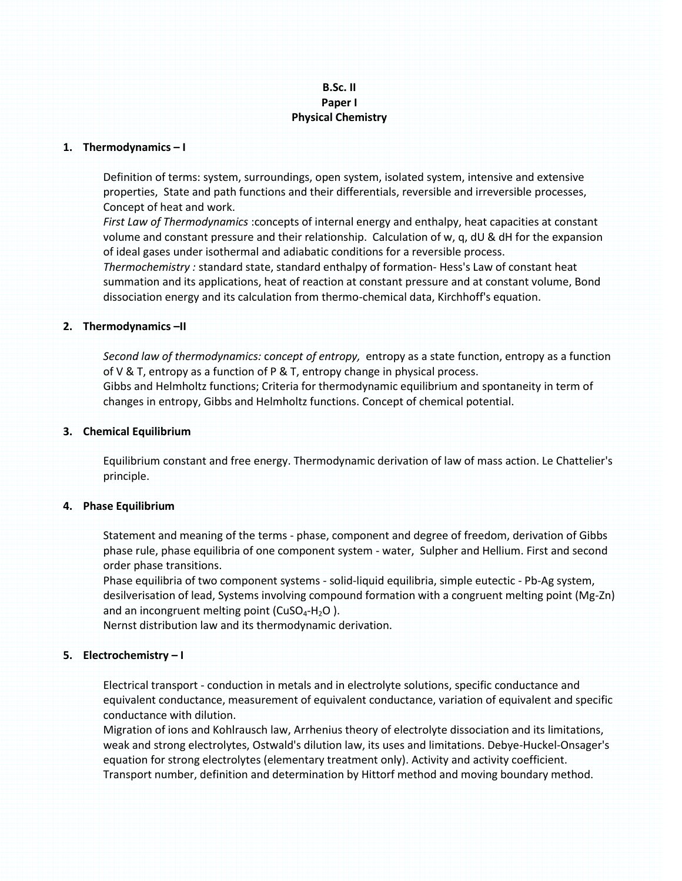# **B.Sc. II Paper I Physical Chemistry**

#### **1. Thermodynamics – I**

Definition of terms: system, surroundings, open system, isolated system, intensive and extensive properties, State and path functions and their differentials, reversible and irreversible processes, Concept of heat and work.

*First Law of Thermodynamics* :concepts of internal energy and enthalpy, heat capacities at constant volume and constant pressure and their relationship. Calculation of w, q, dU & dH for the expansion of ideal gases under isothermal and adiabatic conditions for a reversible process.

*Thermochemistry :* standard state, standard enthalpy of formation- Hess's Law of constant heat summation and its applications, heat of reaction at constant pressure and at constant volume, Bond dissociation energy and its calculation from thermo-chemical data, Kirchhoff's equation.

### **2. Thermodynamics –II**

*Second law of thermodynamics:* c*oncept of entropy,* entropy as a state function, entropy as a function of V & T, entropy as a function of P & T, entropy change in physical process. Gibbs and Helmholtz functions; Criteria for thermodynamic equilibrium and spontaneity in term of changes in entropy, Gibbs and Helmholtz functions. Concept of chemical potential.

#### **3. Chemical Equilibrium**

Equilibrium constant and free energy. Thermodynamic derivation of law of mass action. Le Chattelier's principle.

#### **4. Phase Equilibrium**

Statement and meaning of the terms - phase, component and degree of freedom, derivation of Gibbs phase rule, phase equilibria of one component system - water, Sulpher and Hellium. First and second order phase transitions.

Phase equilibria of two component systems - solid-liquid equilibria, simple eutectic - Pb-Ag system, desilverisation of lead, Systems involving compound formation with a congruent melting point (Mg-Zn) and an incongruent melting point ( $CuSO<sub>4</sub>-H<sub>2</sub>O$ ).

Nernst distribution law and its thermodynamic derivation.

### **5. Electrochemistry – I**

Electrical transport - conduction in metals and in electrolyte solutions, specific conductance and equivalent conductance, measurement of equivalent conductance, variation of equivalent and specific conductance with dilution.

Migration of ions and Kohlrausch law, Arrhenius theory of electrolyte dissociation and its limitations, weak and strong electrolytes, Ostwald's dilution law, its uses and limitations. Debye-Huckel-Onsager's equation for strong electrolytes (elementary treatment only). Activity and activity coefficient. Transport number, definition and determination by Hittorf method and moving boundary method.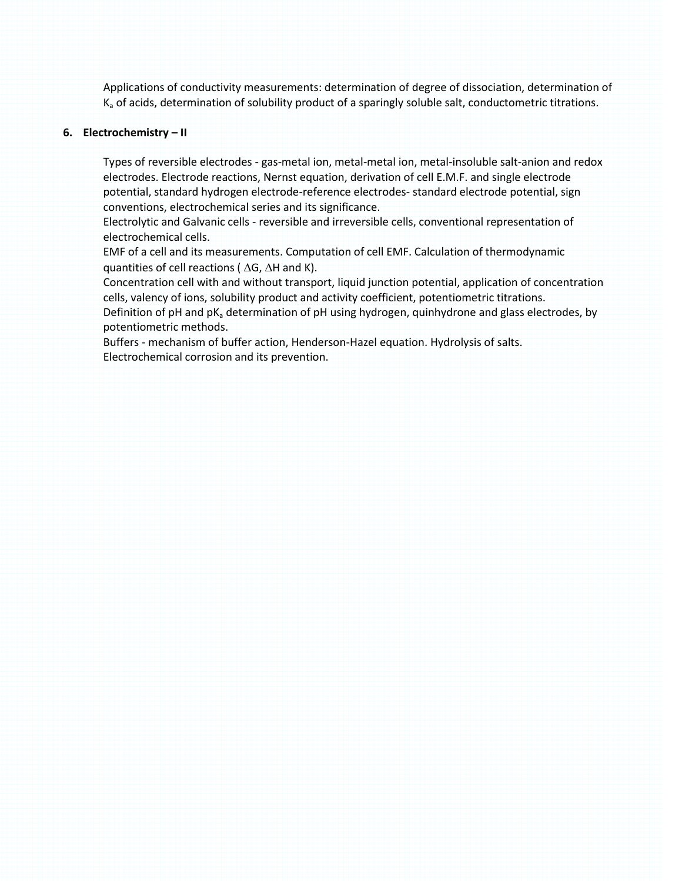Applications of conductivity measurements: determination of degree of dissociation, determination of  $K_a$  of acids, determination of solubility product of a sparingly soluble salt, conductometric titrations.

#### **6. Electrochemistry – II**

Types of reversible electrodes - gas-metal ion, metal-metal ion, metal-insoluble salt-anion and redox electrodes. Electrode reactions, Nernst equation, derivation of cell E.M.F. and single electrode potential, standard hydrogen electrode-reference electrodes- standard electrode potential, sign conventions, electrochemical series and its significance.

Electrolytic and Galvanic cells - reversible and irreversible cells, conventional representation of electrochemical cells.

EMF of a cell and its measurements. Computation of cell EMF. Calculation of thermodynamic quantities of cell reactions ( $\Delta G$ ,  $\Delta H$  and K).

Concentration cell with and without transport, liquid junction potential, application of concentration cells, valency of ions, solubility product and activity coefficient, potentiometric titrations.

Definition of pH and  $pK<sub>a</sub>$  determination of pH using hydrogen, quinhydrone and glass electrodes, by potentiometric methods.

Buffers - mechanism of buffer action, Henderson-Hazel equation. Hydrolysis of salts. Electrochemical corrosion and its prevention.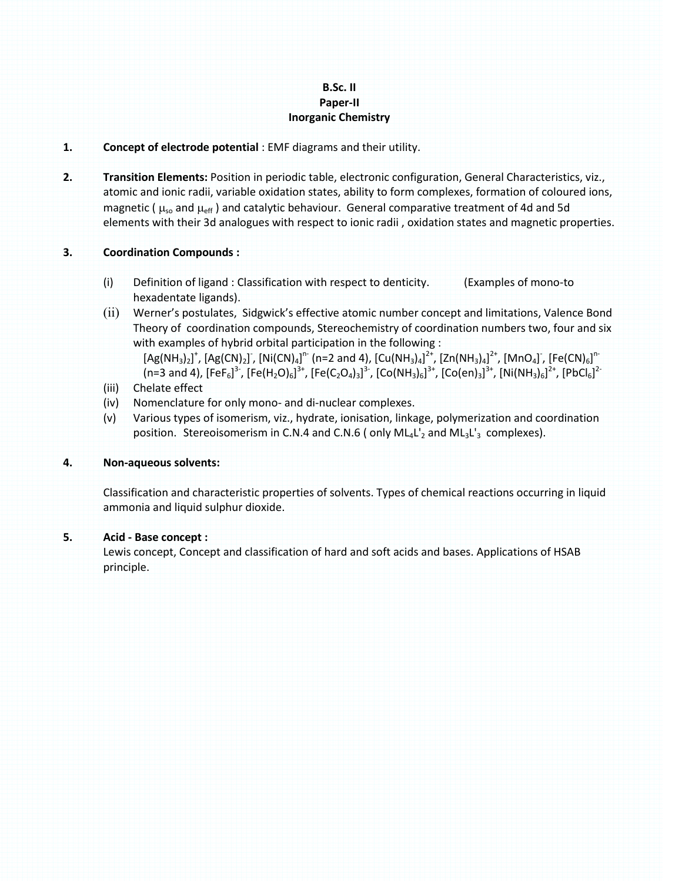# **B.Sc. II Paper-II Inorganic Chemistry**

### **1. Concept of electrode potential** : EMF diagrams and their utility.

**2. Transition Elements:** Position in periodic table, electronic configuration, General Characteristics, viz., atomic and ionic radii, variable oxidation states, ability to form complexes, formation of coloured ions, magnetic ( $\mu_{so}$  and  $\mu_{eff}$ ) and catalytic behaviour. General comparative treatment of 4d and 5d elements with their 3d analogues with respect to ionic radii , oxidation states and magnetic properties.

### **3. Coordination Compounds :**

- (i) Definition of ligand : Classification with respect to denticity. (Examples of mono-to hexadentate ligands).
- (ii) Werner's postulates, Sidgwick's effective atomic number concept and limitations, Valence Bond Theory of coordination compounds, Stereochemistry of coordination numbers two, four and six with examples of hybrid orbital participation in the following :

 $[Ag(NH_3)_2]^+$ ,  $[Ag(CN)_2]$ ,  $[Ni(CN)_4]^n$  (n=2 and 4),  $[Cu(NH_3)_4]^{2+}$ ,  $[Zn(NH_3)_4]^{2+}$ ,  $[MnO_4]$ ,  $[Fe(CN)_6]^{n-1}$ (n=3 and 4), [FeF<sub>6</sub>]<sup>3-</sup>, [Fe(H<sub>2</sub>O)<sub>6</sub>]<sup>3+</sup>, [Fe(C<sub>2</sub>O<sub>4</sub>)<sub>3</sub>]<sup>3</sup>-, [Co(NH<sub>3</sub>)<sub>6</sub>]<sup>3+</sup>, [Co(en)<sub>3</sub>]<sup>3+</sup>, [Ni(NH<sub>3</sub>)<sub>6</sub>]<sup>2+</sup>, [PbCl<sub>6</sub>]<sup>2-</sup>

- (iii) Chelate effect
- (iv) Nomenclature for only mono- and di-nuclear complexes.
- (v) Various types of isomerism, viz., hydrate, ionisation, linkage, polymerization and coordination position. Stereoisomerism in C.N.4 and C.N.6 (only  $ML_4L_2$  and  $ML_3L_3$  complexes).

### **4. Non-aqueous solvents:**

Classification and characteristic properties of solvents. Types of chemical reactions occurring in liquid ammonia and liquid sulphur dioxide.

### **5. Acid - Base concept :**

Lewis concept, Concept and classification of hard and soft acids and bases. Applications of HSAB principle.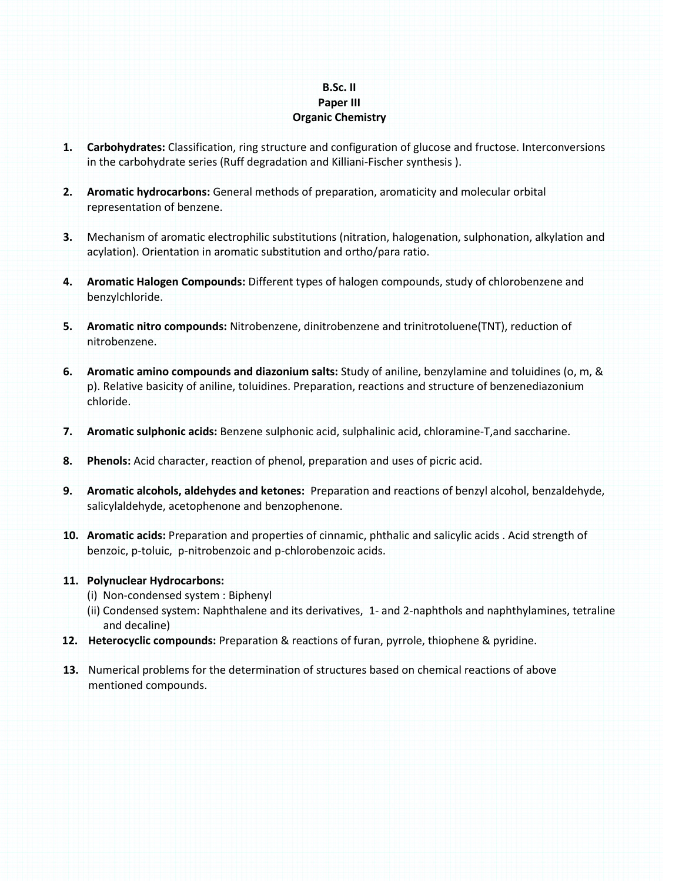# **B.Sc. II Paper III Organic Chemistry**

- **1. Carbohydrates:** Classification, ring structure and configuration of glucose and fructose. Interconversions in the carbohydrate series (Ruff degradation and Killiani-Fischer synthesis ).
- **2. Aromatic hydrocarbons:** General methods of preparation, aromaticity and molecular orbital representation of benzene.
- **3.** Mechanism of aromatic electrophilic substitutions (nitration, halogenation, sulphonation, alkylation and acylation). Orientation in aromatic substitution and ortho/para ratio.
- **4. Aromatic Halogen Compounds:** Different types of halogen compounds, study of chlorobenzene and benzylchloride.
- **5. Aromatic nitro compounds:** Nitrobenzene, dinitrobenzene and trinitrotoluene(TNT), reduction of nitrobenzene.
- **6. Aromatic amino compounds and diazonium salts:** Study of aniline, benzylamine and toluidines (o, m, & p). Relative basicity of aniline, toluidines. Preparation, reactions and structure of benzenediazonium chloride.
- **7. Aromatic sulphonic acids:** Benzene sulphonic acid, sulphalinic acid, chloramine-T,and saccharine.
- **8. Phenols:** Acid character, reaction of phenol, preparation and uses of picric acid.
- **9. Aromatic alcohols, aldehydes and ketones:** Preparation and reactions of benzyl alcohol, benzaldehyde, salicylaldehyde, acetophenone and benzophenone.
- **10. Aromatic acids:** Preparation and properties of cinnamic, phthalic and salicylic acids . Acid strength of benzoic, p-toluic, p-nitrobenzoic and p-chlorobenzoic acids.

### **11. Polynuclear Hydrocarbons:**

- (i) Non-condensed system : Biphenyl
- (ii) Condensed system: Naphthalene and its derivatives, 1- and 2-naphthols and naphthylamines, tetraline and decaline)
- **12. Heterocyclic compounds:** Preparation & reactions of furan, pyrrole, thiophene & pyridine.
- **13.** Numerical problems for the determination of structures based on chemical reactions of above mentioned compounds.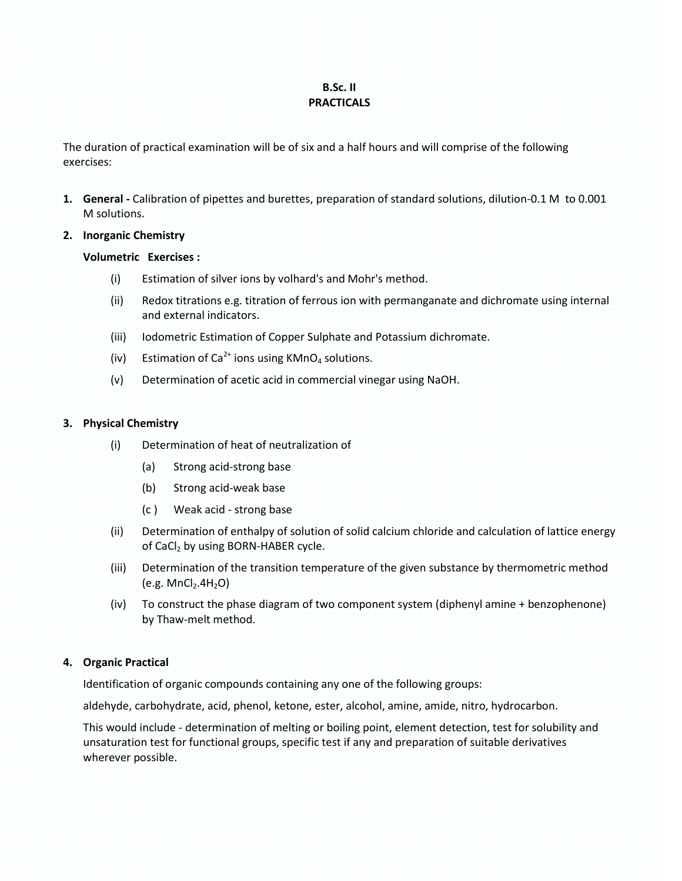# **B.Sc. II PRACTICALS**

The duration of practical examination will be of six and a half hours and will comprise of the following exercises:

- **1. General -** Calibration of pipettes and burettes, preparation of standard solutions, dilution-0.1 M to 0.001 M solutions.
- **2. Inorganic Chemistry**

### **Volumetric Exercises :**

- (i) Estimation of silver ions by volhard's and Mohr's method.
- (ii) Redox titrations e.g. titration of ferrous ion with permanganate and dichromate using internal and external indicators.
- (iii) Iodometric Estimation of Copper Sulphate and Potassium dichromate.
- (iv) Estimation of  $Ca^{2+}$  ions using KMnO<sub>4</sub> solutions.
- (v) Determination of acetic acid in commercial vinegar using NaOH.

### **3. Physical Chemistry**

- (i) Determination of heat of neutralization of
	- (a) Strong acid-strong base
	- (b) Strong acid-weak base
	- (c ) Weak acid strong base
- (ii) Determination of enthalpy of solution of solid calcium chloride and calculation of lattice energy of CaCl<sub>2</sub> by using BORN-HABER cycle.
- (iii) Determination of the transition temperature of the given substance by thermometric method  $(e.g. MnCl<sub>2</sub>.4H<sub>2</sub>O)$
- (iv) To construct the phase diagram of two component system (diphenyl amine + benzophenone) by Thaw-melt method.

# **4. Organic Practical**

Identification of organic compounds containing any one of the following groups:

aldehyde, carbohydrate, acid, phenol, ketone, ester, alcohol, amine, amide, nitro, hydrocarbon.

This would include - determination of melting or boiling point, element detection, test for solubility and unsaturation test for functional groups, specific test if any and preparation of suitable derivatives wherever possible.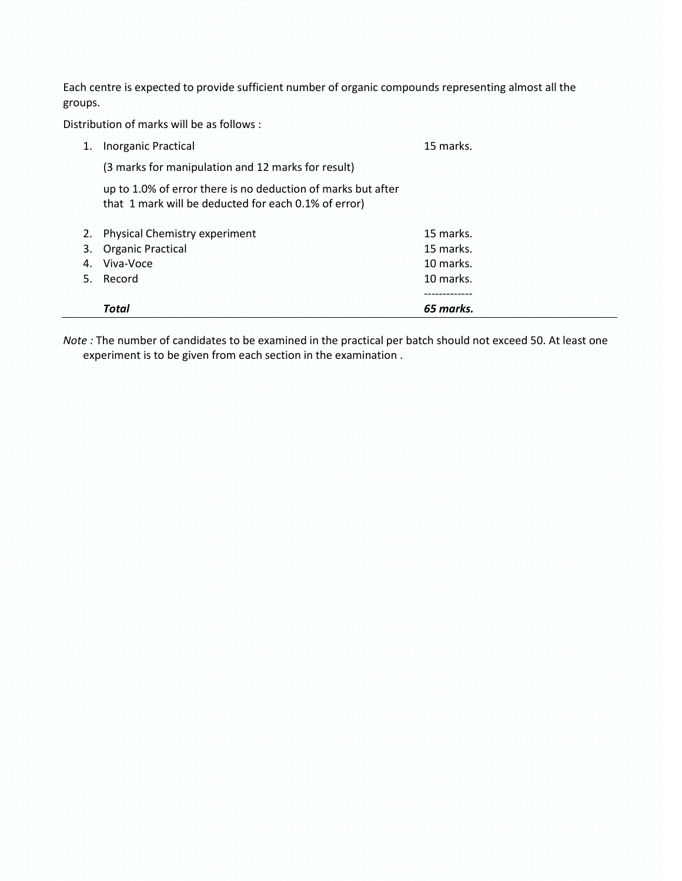Each centre is expected to provide sufficient number of organic compounds representing almost all the groups.

Distribution of marks will be as follows :

| <b>Inorganic Practical</b>                                                                                           | 15 marks. |
|----------------------------------------------------------------------------------------------------------------------|-----------|
| (3 marks for manipulation and 12 marks for result)                                                                   |           |
| up to 1.0% of error there is no deduction of marks but after<br>that 1 mark will be deducted for each 0.1% of error) |           |
| 2. Physical Chemistry experiment                                                                                     | 15 marks. |
| 3. Organic Practical                                                                                                 | 15 marks. |
| 4. Viva-Voce                                                                                                         | 10 marks. |
| 5. Record                                                                                                            | 10 marks. |
|                                                                                                                      |           |
| <b>Total</b>                                                                                                         | 65 marks. |

*Note :* The number of candidates to be examined in the practical per batch should not exceed 50. At least one experiment is to be given from each section in the examination .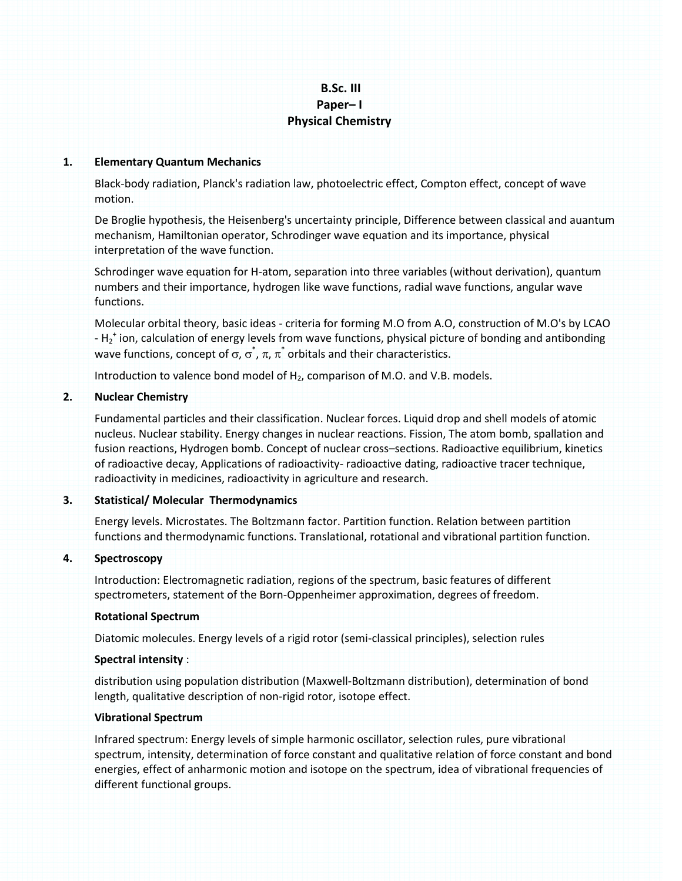# **B.Sc. III Paper– I Physical Chemistry**

### **1. Elementary Quantum Mechanics**

Black-body radiation, Planck's radiation law, photoelectric effect, Compton effect, concept of wave motion.

De Broglie hypothesis, the Heisenberg's uncertainty principle, Difference between classical and auantum mechanism, Hamiltonian operator, Schrodinger wave equation and its importance, physical interpretation of the wave function.

Schrodinger wave equation for H-atom, separation into three variables (without derivation), quantum numbers and their importance, hydrogen like wave functions, radial wave functions, angular wave functions.

Molecular orbital theory, basic ideas - criteria for forming M.O from A.O, construction of M.O's by LCAO -  $H_2^+$  ion, calculation of energy levels from wave functions, physical picture of bonding and antibonding wave functions, concept of  $\sigma$ ,  $\sigma^*$ ,  $\pi$ ,  $\pi^*$  orbitals and their characteristics.

Introduction to valence bond model of  $H_2$ , comparison of M.O. and V.B. models.

#### **2. Nuclear Chemistry**

Fundamental particles and their classification. Nuclear forces. Liquid drop and shell models of atomic nucleus. Nuclear stability. Energy changes in nuclear reactions. Fission, The atom bomb, spallation and fusion reactions, Hydrogen bomb. Concept of nuclear cross–sections. Radioactive equilibrium, kinetics of radioactive decay, Applications of radioactivity- radioactive dating, radioactive tracer technique, radioactivity in medicines, radioactivity in agriculture and research.

### **3. Statistical/ Molecular Thermodynamics**

Energy levels. Microstates. The Boltzmann factor. Partition function. Relation between partition functions and thermodynamic functions. Translational, rotational and vibrational partition function.

### **4. Spectroscopy**

Introduction: Electromagnetic radiation, regions of the spectrum, basic features of different spectrometers, statement of the Born-Oppenheimer approximation, degrees of freedom.

#### **Rotational Spectrum**

Diatomic molecules. Energy levels of a rigid rotor (semi-classical principles), selection rules

### **Spectral intensity** :

distribution using population distribution (Maxwell-Boltzmann distribution), determination of bond length, qualitative description of non-rigid rotor, isotope effect.

#### **Vibrational Spectrum**

Infrared spectrum: Energy levels of simple harmonic oscillator, selection rules, pure vibrational spectrum, intensity, determination of force constant and qualitative relation of force constant and bond energies, effect of anharmonic motion and isotope on the spectrum, idea of vibrational frequencies of different functional groups.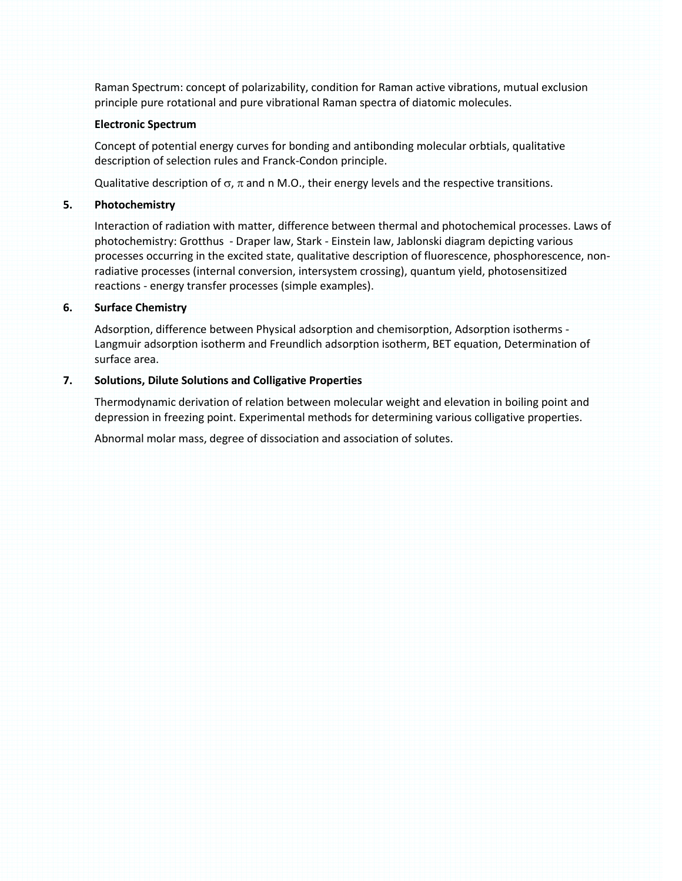Raman Spectrum: concept of polarizability, condition for Raman active vibrations, mutual exclusion principle pure rotational and pure vibrational Raman spectra of diatomic molecules.

### **Electronic Spectrum**

Concept of potential energy curves for bonding and antibonding molecular orbtials, qualitative description of selection rules and Franck-Condon principle.

Qualitative description of  $\sigma$ ,  $\pi$  and n M.O., their energy levels and the respective transitions.

### **5. Photochemistry**

Interaction of radiation with matter, difference between thermal and photochemical processes. Laws of photochemistry: Grotthus - Draper law, Stark - Einstein law, Jablonski diagram depicting various processes occurring in the excited state, qualitative description of fluorescence, phosphorescence, nonradiative processes (internal conversion, intersystem crossing), quantum yield, photosensitized reactions - energy transfer processes (simple examples).

### **6. Surface Chemistry**

Adsorption, difference between Physical adsorption and chemisorption, Adsorption isotherms - Langmuir adsorption isotherm and Freundlich adsorption isotherm, BET equation, Determination of surface area.

### **7. Solutions, Dilute Solutions and Colligative Properties**

Thermodynamic derivation of relation between molecular weight and elevation in boiling point and depression in freezing point. Experimental methods for determining various colligative properties.

Abnormal molar mass, degree of dissociation and association of solutes.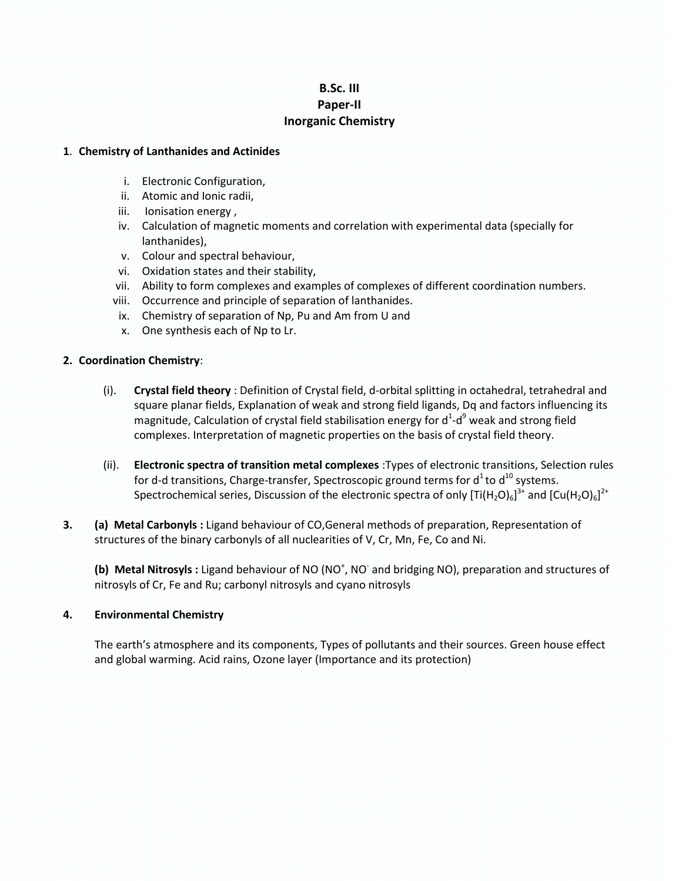# **B.Sc. III Paper-II Inorganic Chemistry**

### **1**. **Chemistry of Lanthanides and Actinides**

- i. Electronic Configuration,
- ii. Atomic and Ionic radii,
- iii. Ionisation energy,
- iv. Calculation of magnetic moments and correlation with experimental data (specially for lanthanides),
- v. Colour and spectral behaviour,
- vi. Oxidation states and their stability,
- vii. Ability to form complexes and examples of complexes of different coordination numbers.
- viii. Occurrence and principle of separation of lanthanides.
- ix. Chemistry of separation of Np, Pu and Am from U and
- x. One synthesis each of Np to Lr.

# **2. Coordination Chemistry**:

- (i). **Crystal field theory** : Definition of Crystal field, d-orbital splitting in octahedral, tetrahedral and square planar fields, Explanation of weak and strong field ligands, Dq and factors influencing its magnitude, Calculation of crystal field stabilisation energy for  $d^1-d^9$  weak and strong field complexes. Interpretation of magnetic properties on the basis of crystal field theory.
- (ii). **Electronic spectra of transition metal complexes** :Types of electronic transitions, Selection rules for d-d transitions, Charge-transfer, Spectroscopic ground terms for  $d^1$  to  $d^{10}$  systems. Spectrochemical series, Discussion of the electronic spectra of only [Ti(H<sub>2</sub>O)<sub>6</sub>]<sup>3+</sup> and [Cu(H<sub>2</sub>O)<sub>6</sub>]<sup>2+</sup>
- **3. (a) Metal Carbonyls :** Ligand behaviour of CO,General methods of preparation, Representation of structures of the binary carbonyls of all nuclearities of V, Cr, Mn, Fe, Co and Ni.

(b) Metal Nitrosyls : Ligand behaviour of NO (NO<sup>+</sup>, NO<sup>-</sup> and bridging NO), preparation and structures of nitrosyls of Cr, Fe and Ru; carbonyl nitrosyls and cyano nitrosyls

# **4. Environmental Chemistry**

The earth's atmosphere and its components, Types of pollutants and their sources. Green house effect and global warming. Acid rains, Ozone layer (Importance and its protection)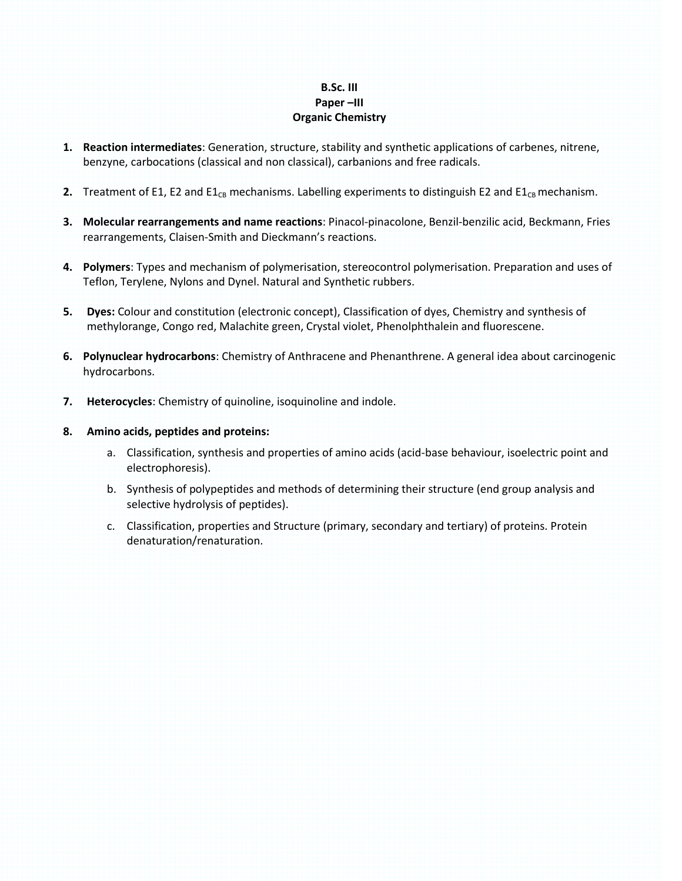# **B.Sc. III Paper –III Organic Chemistry**

- **1. Reaction intermediates**: Generation, structure, stability and synthetic applications of carbenes, nitrene, benzyne, carbocations (classical and non classical), carbanions and free radicals.
- **2.** Treatment of E1, E2 and E1 $_{CB}$  mechanisms. Labelling experiments to distinguish E2 and E1 $_{CB}$  mechanism.
- **3. Molecular rearrangements and name reactions**: Pinacol-pinacolone, Benzil-benzilic acid, Beckmann, Fries rearrangements, Claisen-Smith and Dieckmann's reactions.
- **4. Polymers**: Types and mechanism of polymerisation, stereocontrol polymerisation. Preparation and uses of Teflon, Terylene, Nylons and Dynel. Natural and Synthetic rubbers.
- **5. Dyes:** Colour and constitution (electronic concept), Classification of dyes, Chemistry and synthesis of methylorange, Congo red, Malachite green, Crystal violet, Phenolphthalein and fluorescene.
- **6. Polynuclear hydrocarbons**: Chemistry of Anthracene and Phenanthrene. A general idea about carcinogenic hydrocarbons.
- **7. Heterocycles**: Chemistry of quinoline, isoquinoline and indole.
- **8. Amino acids, peptides and proteins:** 
	- a. Classification, synthesis and properties of amino acids (acid-base behaviour, isoelectric point and electrophoresis).
	- b. Synthesis of polypeptides and methods of determining their structure (end group analysis and selective hydrolysis of peptides).
	- c. Classification, properties and Structure (primary, secondary and tertiary) of proteins. Protein denaturation/renaturation.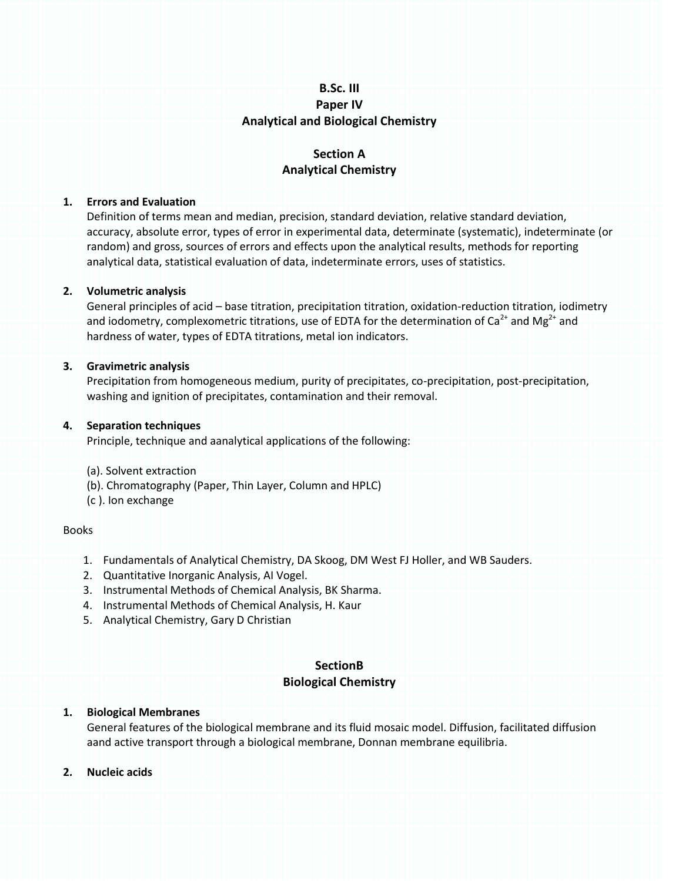# **B.Sc. III Paper IV Analytical and Biological Chemistry**

# **Section A Analytical Chemistry**

### **1. Errors and Evaluation**

Definition of terms mean and median, precision, standard deviation, relative standard deviation, accuracy, absolute error, types of error in experimental data, determinate (systematic), indeterminate (or random) and gross, sources of errors and effects upon the analytical results, methods for reporting analytical data, statistical evaluation of data, indeterminate errors, uses of statistics.

### **2. Volumetric analysis**

General principles of acid – base titration, precipitation titration, oxidation-reduction titration, iodimetry and iodometry, complexometric titrations, use of EDTA for the determination of Ca<sup>2+</sup> and Mg<sup>2+</sup> and hardness of water, types of EDTA titrations, metal ion indicators.

### **3. Gravimetric analysis**

Precipitation from homogeneous medium, purity of precipitates, co-precipitation, post-precipitation, washing and ignition of precipitates, contamination and their removal.

### **4. Separation techniques**

Principle, technique and aanalytical applications of the following:

- (a). Solvent extraction
- (b). Chromatography (Paper, Thin Layer, Column and HPLC)
- (c ). Ion exchange

### Books

- 1. Fundamentals of Analytical Chemistry, DA Skoog, DM West FJ Holler, and WB Sauders.
- 2. Quantitative Inorganic Analysis, AI Vogel.
- 3. Instrumental Methods of Chemical Analysis, BK Sharma.
- 4. Instrumental Methods of Chemical Analysis, H. Kaur
- 5. Analytical Chemistry, Gary D Christian

# **SectionB Biological Chemistry**

### **1. Biological Membranes**

General features of the biological membrane and its fluid mosaic model. Diffusion, facilitated diffusion aand active transport through a biological membrane, Donnan membrane equilibria.

### **2. Nucleic acids**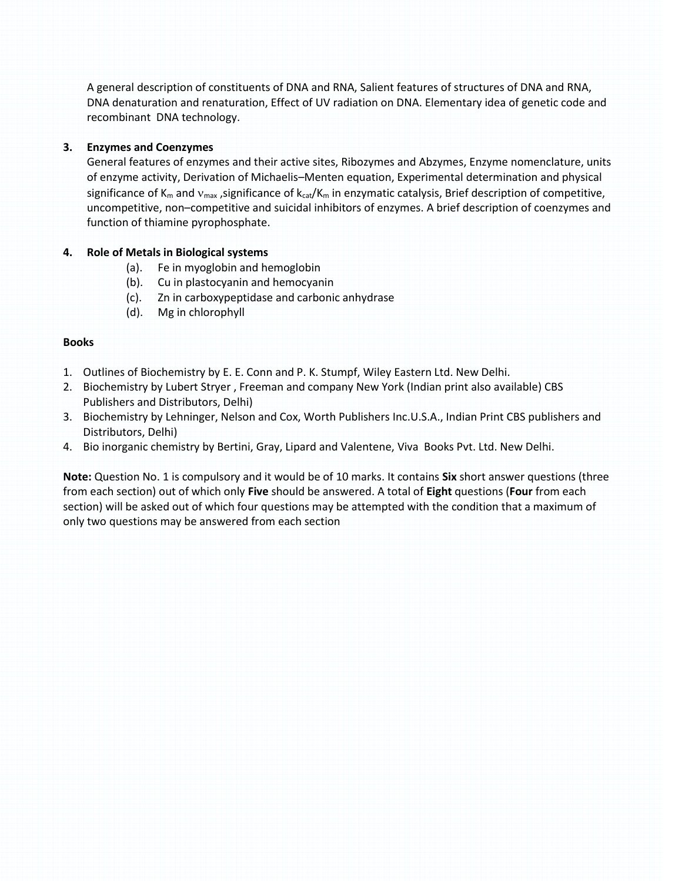A general description of constituents of DNA and RNA, Salient features of structures of DNA and RNA, DNA denaturation and renaturation, Effect of UV radiation on DNA. Elementary idea of genetic code and recombinant DNA technology.

# **3. Enzymes and Coenzymes**

General features of enzymes and their active sites, Ribozymes and Abzymes, Enzyme nomenclature, units of enzyme activity, Derivation of Michaelis–Menten equation, Experimental determination and physical significance of  $K_m$  and  $v_{max}$ , significance of  $k_{cat}/K_m$  in enzymatic catalysis, Brief description of competitive, uncompetitive, non–competitive and suicidal inhibitors of enzymes. A brief description of coenzymes and function of thiamine pyrophosphate.

# **4. Role of Metals in Biological systems**

- (a). Fe in myoglobin and hemoglobin
- (b). Cu in plastocyanin and hemocyanin
- (c). Zn in carboxypeptidase and carbonic anhydrase
- (d). Mg in chlorophyll

# **Books**

- 1. Outlines of Biochemistry by E. E. Conn and P. K. Stumpf, Wiley Eastern Ltd. New Delhi.
- 2. Biochemistry by Lubert Stryer , Freeman and company New York (Indian print also available) CBS Publishers and Distributors, Delhi)
- 3. Biochemistry by Lehninger, Nelson and Cox, Worth Publishers Inc.U.S.A., Indian Print CBS publishers and Distributors, Delhi)
- 4. Bio inorganic chemistry by Bertini, Gray, Lipard and Valentene, Viva Books Pvt. Ltd. New Delhi.

**Note:** Question No. 1 is compulsory and it would be of 10 marks. It contains **Six** short answer questions (three from each section) out of which only **Five** should be answered. A total of **Eight** questions (**Four** from each section) will be asked out of which four questions may be attempted with the condition that a maximum of only two questions may be answered from each section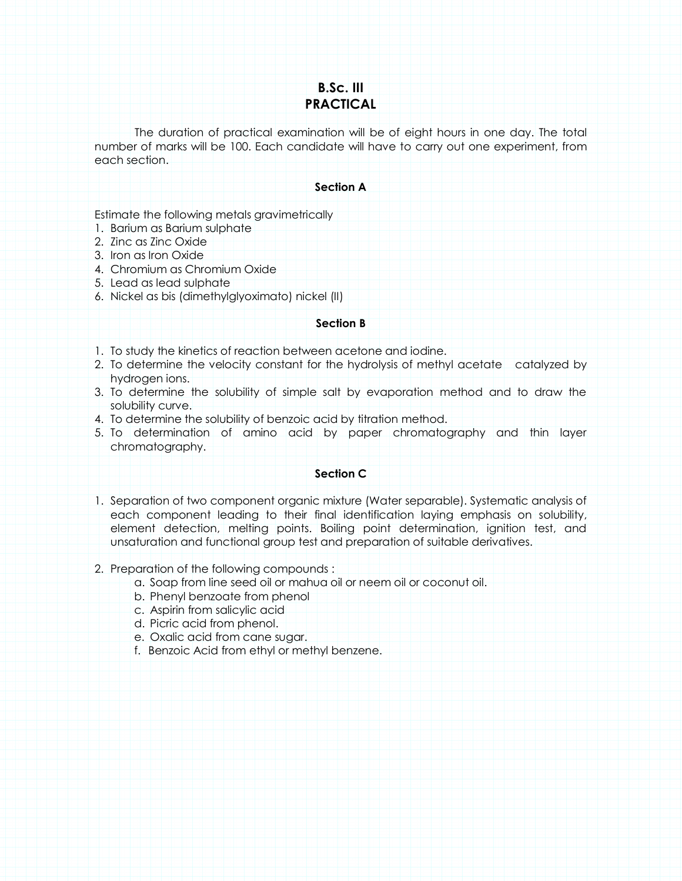# **B.Sc. III PRACTICAL**

The duration of practical examination will be of eight hours in one day. The total number of marks will be 100. Each candidate will have to carry out one experiment, from each section.

### **Section A**

Estimate the following metals gravimetrically

- 1. Barium as Barium sulphate
- 2. Zinc as Zinc Oxide
- 3. Iron as Iron Oxide
- 4. Chromium as Chromium Oxide
- 5. Lead as lead sulphate
- 6. Nickel as bis (dimethylglyoximato) nickel (II)

### **Section B**

- 1. To study the kinetics of reaction between acetone and iodine.
- 2. To determine the velocity constant for the hydrolysis of methyl acetate catalyzed by hydrogen ions.
- 3. To determine the solubility of simple salt by evaporation method and to draw the solubility curve.
- 4. To determine the solubility of benzoic acid by titration method.
- 5. To determination of amino acid by paper chromatography and thin layer chromatography.

# **Section C**

1. Separation of two component organic mixture (Water separable). Systematic analysis of each component leading to their final identification laying emphasis on solubility, element detection, melting points. Boiling point determination, ignition test, and unsaturation and functional group test and preparation of suitable derivatives.

# 2. Preparation of the following compounds :

- a. Soap from line seed oil or mahua oil or neem oil or coconut oil.
- b. Phenyl benzoate from phenol
- c. Aspirin from salicylic acid
- d. Picric acid from phenol.
- e. Oxalic acid from cane sugar.
- f. Benzoic Acid from ethyl or methyl benzene.